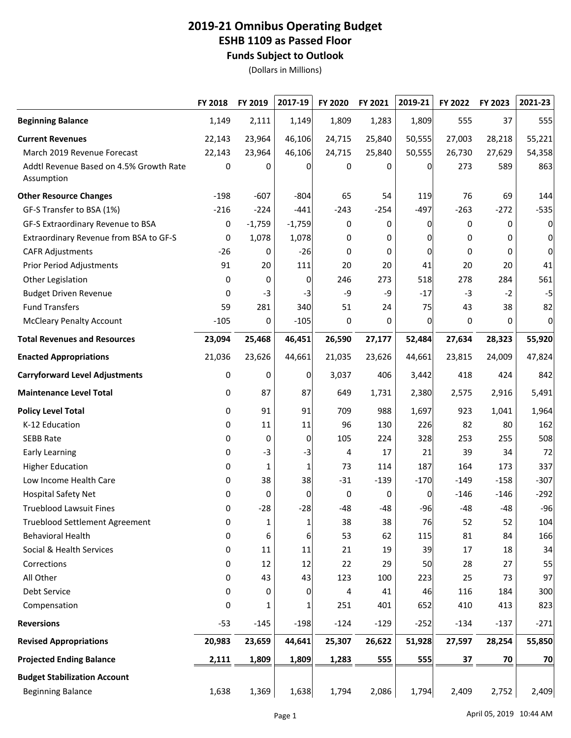## **2019-21 Omnibus Operating Budget ESHB 1109 as Passed Floor Funds Subject to Outlook**

(Dollars in Millions)

|                                                       | FY 2018 | FY 2019  | 2017-19  | FY 2020 | FY 2021 | 2019-21  | FY 2022 | FY 2023 | 2021-23        |
|-------------------------------------------------------|---------|----------|----------|---------|---------|----------|---------|---------|----------------|
| <b>Beginning Balance</b>                              | 1,149   | 2,111    | 1,149    | 1,809   | 1,283   | 1,809    | 555     | 37      | 555            |
| <b>Current Revenues</b>                               | 22,143  | 23,964   | 46,106   | 24,715  | 25,840  | 50,555   | 27,003  | 28,218  | 55,221         |
| March 2019 Revenue Forecast                           | 22,143  | 23,964   | 46,106   | 24,715  | 25,840  | 50,555   | 26,730  | 27,629  | 54,358         |
| Addtl Revenue Based on 4.5% Growth Rate<br>Assumption | 0       | 0        | 0        | 0       | 0       | 0        | 273     | 589     | 863            |
| <b>Other Resource Changes</b>                         | $-198$  | $-607$   | $-804$   | 65      | 54      | 119      | 76      | 69      | 144            |
| GF-S Transfer to BSA (1%)                             | $-216$  | $-224$   | $-441$   | $-243$  | $-254$  | $-497$   | $-263$  | $-272$  | $-535$         |
| GF-S Extraordinary Revenue to BSA                     | 0       | $-1,759$ | $-1,759$ | 0       | 0       | 0        | 0       | 0       | $\overline{0}$ |
| Extraordinary Revenue from BSA to GF-S                | 0       | 1,078    | 1,078    | 0       | 0       | 0        | 0       | 0       | $\overline{0}$ |
| <b>CAFR Adjustments</b>                               | $-26$   | 0        | $-26$    | 0       | 0       | 0        | 0       | 0       | $\overline{0}$ |
| <b>Prior Period Adjustments</b>                       | 91      | 20       | 111      | 20      | 20      | 41       | 20      | 20      | 41             |
| Other Legislation                                     | 0       | 0        | 0        | 246     | 273     | 518      | 278     | 284     | 561            |
| <b>Budget Driven Revenue</b>                          | 0       | $-3$     | $-3$     | -9      | -9      | $-17$    | $-3$    | $-2$    | $-5$           |
| <b>Fund Transfers</b>                                 | 59      | 281      | 340      | 51      | 24      | 75       | 43      | 38      | 82             |
| <b>McCleary Penalty Account</b>                       | $-105$  | 0        | $-105$   | 0       | 0       | $\Omega$ | 0       | 0       | $\overline{0}$ |
| <b>Total Revenues and Resources</b>                   | 23,094  | 25,468   | 46,451   | 26,590  | 27,177  | 52,484   | 27,634  | 28,323  | 55,920         |
| <b>Enacted Appropriations</b>                         | 21,036  | 23,626   | 44,661   | 21,035  | 23,626  | 44,661   | 23,815  | 24,009  | 47,824         |
| <b>Carryforward Level Adjustments</b>                 | 0       | 0        | 0        | 3,037   | 406     | 3,442    | 418     | 424     | 842            |
| <b>Maintenance Level Total</b>                        | 0       | 87       | 87       | 649     | 1,731   | 2,380    | 2,575   | 2,916   | 5,491          |
| <b>Policy Level Total</b>                             | 0       | 91       | 91       | 709     | 988     | 1,697    | 923     | 1,041   | 1,964          |
| K-12 Education                                        | 0       | 11       | 11       | 96      | 130     | 226      | 82      | 80      | 162            |
| <b>SEBB Rate</b>                                      | 0       | 0        | 0        | 105     | 224     | 328      | 253     | 255     | 508            |
| <b>Early Learning</b>                                 | 0       | $-3$     | $-3$     | 4       | 17      | 21       | 39      | 34      | 72             |
| <b>Higher Education</b>                               | 0       | 1        | 1        | 73      | 114     | 187      | 164     | 173     | 337            |
| Low Income Health Care                                | 0       | 38       | 38       | $-31$   | $-139$  | $-170$   | $-149$  | $-158$  | $-307$         |
| <b>Hospital Safety Net</b>                            | 0       | 0        | 0        | 0       | 0       | 0        | $-146$  | $-146$  | $-292$         |
| <b>Trueblood Lawsuit Fines</b>                        | 0       | $-28$    | $-28$    | $-48$   | $-48$   | $-96$    | $-48$   | -48     | $-96$          |
| <b>Trueblood Settlement Agreement</b>                 | 0       | 1        | 1        | 38      | 38      | 76       | 52      | 52      | 104            |
| <b>Behavioral Health</b>                              | 0       | 6        | 6        | 53      | 62      | 115      | 81      | 84      | 166            |
| Social & Health Services                              | 0       | 11       | 11       | 21      | 19      | 39       | 17      | 18      | 34             |
| Corrections                                           | 0       | 12       | 12       | 22      | 29      | 50       | 28      | 27      | 55             |
| All Other                                             | 0       | 43       | 43       | 123     | 100     | 223      | 25      | 73      | 97             |
| Debt Service                                          | 0       | 0        | 0        | 4       | 41      | 46       | 116     | 184     | 300            |
| Compensation                                          | 0       | 1        | 1        | 251     | 401     | 652      | 410     | 413     | 823            |
| <b>Reversions</b>                                     | $-53$   | $-145$   | $-198$   | $-124$  | $-129$  | $-252$   | $-134$  | $-137$  | $-271$         |
| <b>Revised Appropriations</b>                         | 20,983  | 23,659   | 44,641   | 25,307  | 26,622  | 51,928   | 27,597  | 28,254  | 55,850         |
| <b>Projected Ending Balance</b>                       | 2,111   | 1,809    | 1,809    | 1,283   | 555     | 555      | 37      | 70      | 70             |
| <b>Budget Stabilization Account</b>                   |         |          |          |         |         |          |         |         |                |
| <b>Beginning Balance</b>                              | 1,638   | 1,369    | 1,638    | 1,794   | 2,086   | 1,794    | 2,409   | 2,752   | 2,409          |